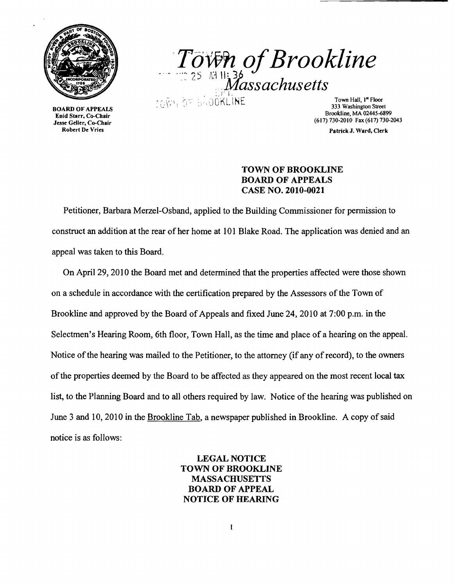

nu Start, Co-Chair<br>se Geller, Co-Chair<br>Robert De Vries



BOARD OF APPEALS<br>
Enid Starr, Co-Chair<br>
Jesse Geller, Co-Chair<br>
1999 - 1977 - 1978 - 1978 - 1978 - 1979 - 1979 - 1979 - 1979 - 1979 - 1979 - 1979 - 1979 - 1979 - 1979 - 198<br>
Tesse Geller, Co-Chair<br>
1979 - 1979 - 1979 - 197

Patrick J. Ward, Clerk

## TOWN OF BROOKLINE BOARD OF APPEALS CASE NO. 2010-0021

Petitioner, Barbara Merzel-Osband, applied to the Building Commissioner for permission to construct an addition at the rear of her home at 101 Blake Road. The application was denied and an appeal was taken to this Board.

On April 29, 2010 the Board met and determined that the properties affected were those shown on a schedule in accordance with the certification prepared by the Assessors of the Town of Brookline and approved by the Board of Appeals and fixed June 24,2010 at 7:00 p.m. in the Selectmen's Hearing Room, 6th floor, Town Hall, as the time and place of a hearing on the appeal. Notice of the hearing was mailed to the Petitioner, to the attorney (if any of record), to the owners of the properties deemed by the Board to be affected as they appeared on the most recent local tax list, to the Planning Board and to all others required by law. Notice of the hearing was published on June 3 and 10, 2010 in the Brookline Tab, a newspaper published in Brookline. A copy of said notice is as follows:

> LEGAL NOTICE TOWN OF BROOKLINE **MASSACHUSETTS** BOARD OF APPEAL NOTICE OF HEARING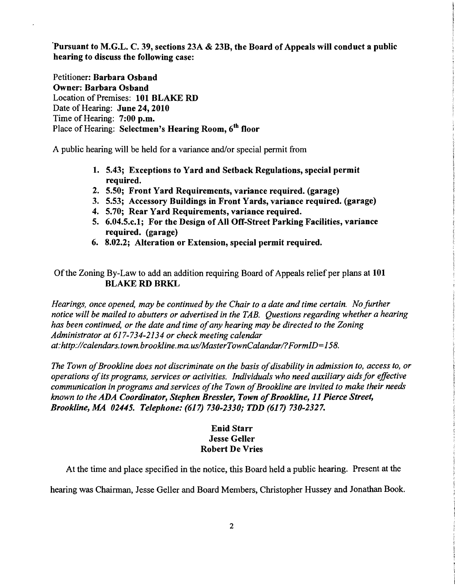'Pursuant to M.G.L. C. 39, sections 23A & 23B, the Board of Appeals will conduct a public hearing to discuss the following case:

Petitioner: Barbara Osband Owner: Barbara Osband Location of Premises: 101 BLAKE RD Date of Hearing: June 24, 2010 Time of Hearing: 7:00 p.m. Place of Hearing: Selectmen's Hearing Room, 6<sup>th</sup> floor

A public hearing will be held for a variance and/or special permit from

- 1. 5.43; Exceptions to Yard and Setback Regulations, special permit required.
- 2. 5.50; Front Yard Requirements, variance required. (garage)
- 3. 5.53; Accessory Buildings in Front Yards, variance required. (garage)
- 4. 5.70; Rear Yard Requirements, variance required.
- 5. 6.04.5.c.1; For the Design of All Off-Street Parking Facilities, variance required. (garage)
- 6. 8.02.2; Alteration or Extension, special permit required.

Of the Zoning By-Law to add an addition requiring Board of Appeals relief per plans at 101 BLAKE RD BRKL

*Hearings, once opened, may be continued by the Chair to a date and time certain. No further notice will be mailed to abutters or advertised in the TAB. Questions regarding whether a hearing has been continued, or the date and time ofany hearing may be directed to the Zoning Administrator at* 617-734-2134 *or check meeting calendar at:http://calendars. town. brookline.ma. uslMasterTownCalandarl?FormID=158.* 

The Town of Brookline does not discriminate on the basis of disability in admission to, access to, or *operations ofits programs, services or activities. Individuals who need auxiliary aids for effective communication in programs and services ofthe Town ofBrookline are invited to make their needs known to the ADA Coordinator, Stephen Bressler, Town of Brookline, 11 Pierce Street, Brookline, MA 02445. Telephone:* (617) *730-2330; TDD* (617) *730-2327.* 

## Enid Starr **Jesse Geller** Robert De Vries

At the time and place specified in the notice, this Board held a public hearing. Present at the

hearing was Chairman, Jesse Geller and Board Members, Christopher Hussey and Jonathan Book.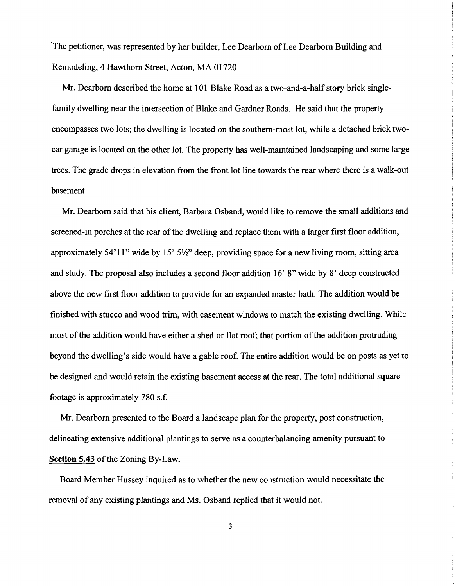'The petitioner, was represented by her builder, Lee Dearborn of Lee Dearborn Building and Remodeling, 4 Hawthorn Street, Acton, MA 01720.

Mr. Dearborn described the home at 101 Blake Road as a two-and-a-half story brick singlefamily dwelling near the intersection of Blake and Gardner Roads. He said that the property encompasses two lots; the dwelling is located on the southern-most lot, while a detached brick twocar garage is located on the other lot. The property has well-maintained landscaping and some large trees. The grade drops in elevation from the front lot line towards the rear where there is a walk-out basement.

Mr. Dearborn said that his client, Barbara Osband, would like to remove the small additions and screened-in porches at the rear of the dwelling and replace them with a larger first floor addition, approximately 54' 11" wide by 15' 5*W'* deep, providing space for a new living room, sitting area and study. The proposal also includes a second floor addition 16' 8" wide by 8' deep constructed above the new first floor addition to provide for an expanded master bath. The addition would be finished with stucco and wood trim, with casement windows to match the existing dwelling. While most of the addition would have either a shed or flat roof; that portion of the addition protruding beyond the dwelling's side would have a gable roof. The entire addition would be on posts as yet to be designed and would retain the existing basement access at the rear. The total additional square footage is approximately 780 s.f.

Mr. Dearborn presented to the Board a landscape plan for the property, post construction, delineating extensive additional plantings to serve as a counterbalancing amenity pursuant to **Section 5.43 of the Zoning By-Law.** 

Board Member Hussey inquired as to whether the new construction would necessitate the removal of any existing plantings and Ms. Osband replied that it would not.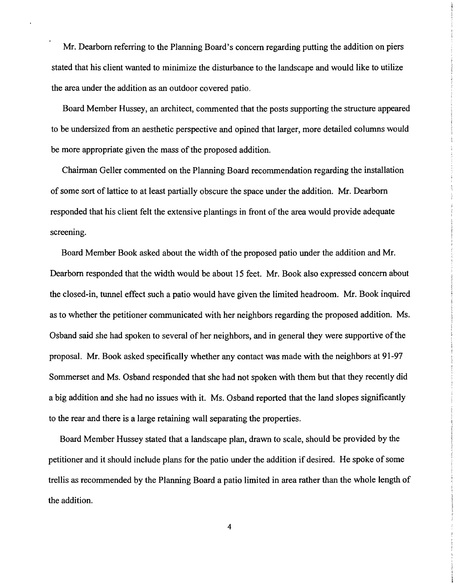Mr. Dearborn referring to the Planning Board's concern regarding putting the addition on piers stated that his client wanted to minimize the disturbance to the landscape and would like to utilize the area under the addition as an outdoor covered patio.

Board Member Hussey, an architect, commented that the posts supporting the structure appeared to be undersized from an aesthetic perspective and opined that larger, more detailed columns would be more appropriate given the mass of the proposed addition.

Chairman Geller commented on the Planning Board recommendation regarding the installation of some sort of lattice to at least partially obscure the space under the addition. Mr. Dearborn responded that his client felt the extensive plantings in front of the area would provide adequate screening.

Board Member Book asked about the width of the proposed patio under the addition and Mr. Dearborn responded that the width would be about 15 feet. Mr. Book also expressed concern about the closed-in, tunnel effect such a patio would have given the limited headroom. Mr. Book inquired as to whether the petitioner communicated with her neighbors regarding the proposed addition. Ms. Osband said she had spoken to several of her neighbors, and in general they were supportive of the proposal. Mr. Book asked specifically whether any contact was made with the neighbors at 91-97 Sommerset and Ms. Osband responded that she had not spoken with them but that they recently did a big addition and she had no issues with it. Ms. Osband reported that the land slopes significantly to the rear and there is a large retaining wall separating the properties.

Board Member Hussey stated that a landscape plan, drawn to scale, should be provided by the petitioner and it should include plans for the patio under the addition if desired. He spoke of some trellis as recommended by the Planning Board a patio limited in area rather than the whole length of the addition.

4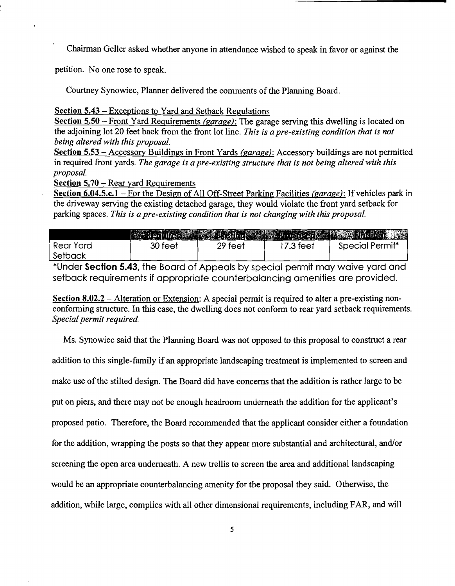Chairman Geller asked whether anyone in attendance wished to speak in favor or against the

petition. No one rose to speak.

Courtney Synowiec, Planner delivered the comments of the Planning Board.

Section 5.43 - Exceptions to Yard and Setback Regulations

Section 5.50 - Front Yard Requirements *(garage):* The garage serving this dwelling is located on the adjoining lot 20 feet back from the front lot line. *This is a pre-existing condition that is not being altered with this proposal.* 

Section 5.53 - Accessory Buildings in Front Yards *(garage):* Accessory buildings are not pennitted in required front yards. *The garage is a pre-existing structure that is not being altered with this proposal.* 

Section 5.70 - Rear yard Requirements

Section 6.04.5.c.l - For the Design of All Off-Street Parking Facilities *(garage):* If vehicles park in the driveway serving the existing detached garage, they would violate the front yard setback for parking spaces. *This is a pre-existing condition that is not changing with this proposal.* 

|           |         |         |           | <b>Marked Ulcel 2008 Easting Street Proposed Committee Law Phillips 2008</b> |
|-----------|---------|---------|-----------|------------------------------------------------------------------------------|
| Rear Yard | 30 feet | 29 feet | ∣7.3 feet | Special Permit <sup>*</sup>                                                  |
| Setback   |         |         |           |                                                                              |

\*Under **Section** 5.43, the Board of Appeals by special permit may waive yard and setback requirements if appropriate counterbalancing amenities are provided.

Section  $8.02.2$  – Alteration or Extension: A special permit is required to alter a pre-existing nonconforming structure. In this case, the dwelling does not conform to rear yard setback requirements. *Special permit required.* 

Ms. Synowiec said that the Planning Board was not opposed to this proposal to construct a rear addition to this single-family if an appropriate landscaping treatment is implemented to screen and make use of the stilted design. The Board did have concerns that the addition is rather large to be put on piers, and there may not be enough headroom underneath the addition for the applicant's proposed patio. Therefore, the Board recommended that the applicant consider either a foundation for the addition, wrapping the posts so that they appear more substantial and architectural, and/or screening the open area underneath. A new trellis to screen the area and additional landscaping would be an appropriate counterbalancing amenity for the proposal they said. Otherwise, the addition, while large, complies with all other dimensional requirements, including FAR, and will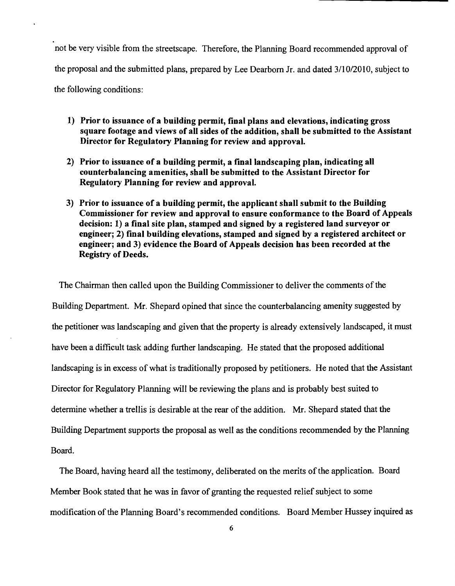not be very visible from the streetscape. Therefore, the Planning Board recommended approval of the proposal and the submitted plans, prepared by Lee Dearborn Jr. and dated 3/10/2010, subject to the following conditions:

- 1) Prior to issuance of a building permit, final plans and elevations, indicating gross square footage and views of all sides of the addition, shall be submitted to the Assistant Director for Regulatory Planning for review and approval.
- 2) Prior to issuance of a building permit, a final landscaping plan, indicating all counterbalancing amenities, shall be submitted to the Assistant Director for Regulatory Planning for review and approval.
- 3) Prior to issuance of a building permit, the applicant shall submit to the Building Commissioner for review and approval to ensure conformance to the Board of Appeals decision: 1) a final site plan, stamped and signed by a registered land surveyor or engineer; 2) final building elevations, stamped and signed by a registered architect or engineer; and 3) evidence the Board of Appeals decision has been recorded at the Registry of Deeds.

The Chairman then called upon the Building Commissioner to deliver the comments of the Building Department. Mr. Shepard opined that since the counterbalancing amenity suggested by the petitioner was landscaping and given that the property is already extensively landscaped, it must have been a difficult task adding further landscaping. He stated that the proposed additional landscaping is in excess of what is traditionally proposed by petitioners. He noted that the Assistant Director for Regulatory Planning will be reviewing the plans and is probably best suited to determine whether a trellis is desirable at the rear of the addition. Mr. Shepard stated that the Building Department supports the proposal as well as the conditions recommended by the Planning Board.

The Board, having heard all the testimony, deliberated on the merits of the application. Board Member Book stated that he was in favor of granting the requested relief subject to some modification of the Planning Board's recommended conditions. Board Member Hussey inquired as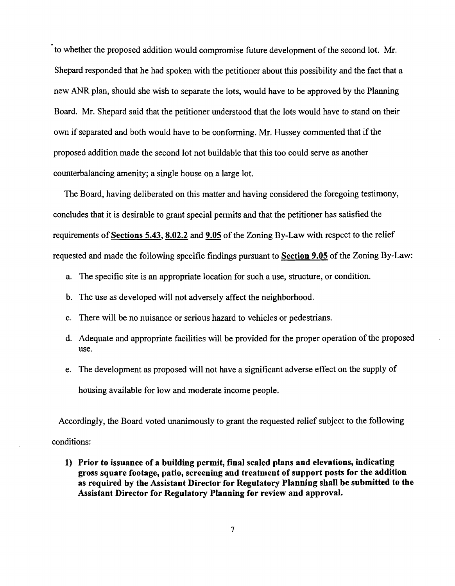to whether the proposed addition would compromise future development of the second lot. Mr. Shepard responded that he had spoken with the petitioner about this possibility and the fact that a new ANR plan, should she wish to separate the lots, would have to be approved by the Planning Board. Mr. Shepard said that the petitioner understood that the lots would have to stand on their own if separated and both would have to be conforming. Mr. Hussey commented that if the proposed addition made the second lot not buildable that this too could serve as another counterbalancing amenity; a single house on a large lot.

The Board, having deliberated on this matter and having considered the foregoing testimony, concludes that it is desirable to grant special permits and that the petitioner has satisfied the requirements of Sections  $5.43$ ,  $8.02.2$  and  $9.05$  of the Zoning By-Law with respect to the relief requested and made the following specific findings pursuant to Section 9.05 of the Zoning By-Law:

- a. The specific site is an appropriate location for such a use, structure, or condition.
- b. The use as developed will not adversely affect the neighborhood.
- c. There will be no nuisance or serious hazard to vehicles or pedestrians.
- d. Adequate and appropriate facilities will be provided for the proper operation of the proposed use.
- e. The development as proposed will not have a significant adverse effect on the supply of housing available for low and moderate income people.

Accordingly, the Board voted unanimously to grant the requested relief subject to the following conditions:

1) Prior to issuance of a building permit, final scaled plans and elevations, indicating gross square footage, patio, screening and treatment of support posts for the addition as required by the Assistant Director for Regulatory Planning shall be submitted to the Assistant Director for Regulatory Planning for review and approval.